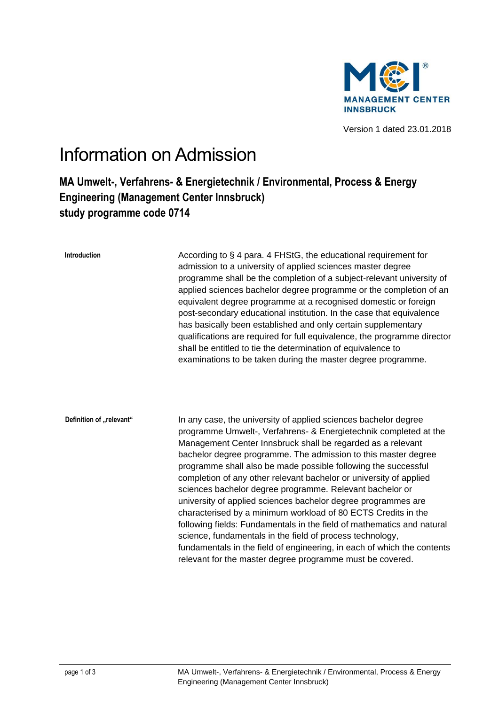

Version 1 dated 23.01.2018

## Information on Admission

## **MA Umwelt-, Verfahrens- & Energietechnik / Environmental, Process & Energy Engineering (Management Center Innsbruck) study programme code 0714**

| <b>Introduction</b>      | According to § 4 para. 4 FHStG, the educational requirement for<br>admission to a university of applied sciences master degree<br>programme shall be the completion of a subject-relevant university of<br>applied sciences bachelor degree programme or the completion of an<br>equivalent degree programme at a recognised domestic or foreign<br>post-secondary educational institution. In the case that equivalence<br>has basically been established and only certain supplementary<br>qualifications are required for full equivalence, the programme director<br>shall be entitled to tie the determination of equivalence to<br>examinations to be taken during the master degree programme.                                                                                                                                                                                     |
|--------------------------|-------------------------------------------------------------------------------------------------------------------------------------------------------------------------------------------------------------------------------------------------------------------------------------------------------------------------------------------------------------------------------------------------------------------------------------------------------------------------------------------------------------------------------------------------------------------------------------------------------------------------------------------------------------------------------------------------------------------------------------------------------------------------------------------------------------------------------------------------------------------------------------------|
| Definition of "relevant" | In any case, the university of applied sciences bachelor degree<br>programme Umwelt-, Verfahrens- & Energietechnik completed at the<br>Management Center Innsbruck shall be regarded as a relevant<br>bachelor degree programme. The admission to this master degree<br>programme shall also be made possible following the successful<br>completion of any other relevant bachelor or university of applied<br>sciences bachelor degree programme. Relevant bachelor or<br>university of applied sciences bachelor degree programmes are<br>characterised by a minimum workload of 80 ECTS Credits in the<br>following fields: Fundamentals in the field of mathematics and natural<br>science, fundamentals in the field of process technology,<br>fundamentals in the field of engineering, in each of which the contents<br>relevant for the master degree programme must be covered. |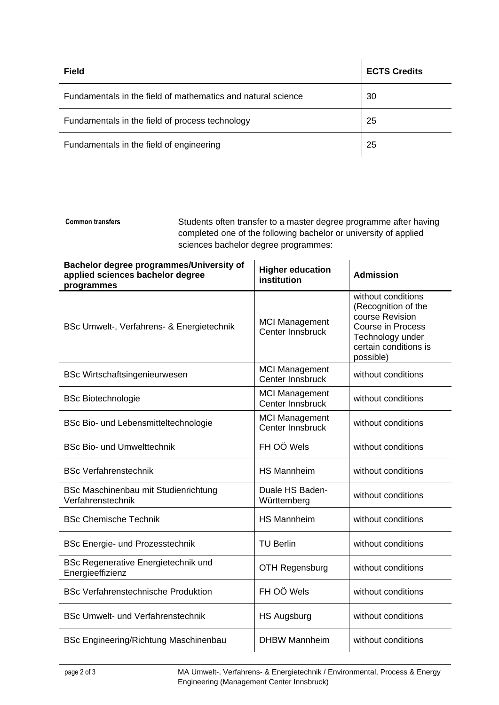| <b>Field</b>                                                 | <b>ECTS Credits</b> |
|--------------------------------------------------------------|---------------------|
| Fundamentals in the field of mathematics and natural science | 30                  |
| Fundamentals in the field of process technology              | 25                  |
| Fundamentals in the field of engineering                     | 25                  |

Students often transfer to a master degree programme after having completed one of the following bachelor or university of applied sciences bachelor degree programmes: **Common transfers**

| Bachelor degree programmes/University of<br>applied sciences bachelor degree<br>programmes | <b>Higher education</b><br>institution    | <b>Admission</b>                                                                                                                                   |
|--------------------------------------------------------------------------------------------|-------------------------------------------|----------------------------------------------------------------------------------------------------------------------------------------------------|
| BSc Umwelt-, Verfahrens- & Energietechnik                                                  | <b>MCI Management</b><br>Center Innsbruck | without conditions<br>(Recognition of the<br>course Revision<br><b>Course in Process</b><br>Technology under<br>certain conditions is<br>possible) |
| <b>BSc Wirtschaftsingenieurwesen</b>                                                       | <b>MCI Management</b><br>Center Innsbruck | without conditions                                                                                                                                 |
| <b>BSc Biotechnologie</b>                                                                  | <b>MCI Management</b><br>Center Innsbruck | without conditions                                                                                                                                 |
| BSc Bio- und Lebensmitteltechnologie                                                       | <b>MCI Management</b><br>Center Innsbruck | without conditions                                                                                                                                 |
| <b>BSc Bio- und Umwelttechnik</b>                                                          | FH OÖ Wels                                | without conditions                                                                                                                                 |
| <b>BSc Verfahrenstechnik</b>                                                               | <b>HS Mannheim</b>                        | without conditions                                                                                                                                 |
| BSc Maschinenbau mit Studienrichtung<br>Verfahrenstechnik                                  | Duale HS Baden-<br>Württemberg            | without conditions                                                                                                                                 |
| <b>BSc Chemische Technik</b>                                                               | <b>HS Mannheim</b>                        | without conditions                                                                                                                                 |
| <b>BSc Energie- und Prozesstechnik</b>                                                     | <b>TU Berlin</b>                          | without conditions                                                                                                                                 |
| <b>BSc Regenerative Energietechnik und</b><br>Energieeffizienz                             | <b>OTH Regensburg</b>                     | without conditions                                                                                                                                 |
| <b>BSc Verfahrenstechnische Produktion</b>                                                 | FH OÖ Wels                                | without conditions                                                                                                                                 |
| <b>BSc Umwelt- und Verfahrenstechnik</b>                                                   | <b>HS Augsburg</b>                        | without conditions                                                                                                                                 |
| <b>BSc Engineering/Richtung Maschinenbau</b>                                               | <b>DHBW Mannheim</b>                      | without conditions                                                                                                                                 |

page 2 of 3 MA Umwelt-, Verfahrens- & Energietechnik / Environmental, Process & Energy Engineering (Management Center Innsbruck)